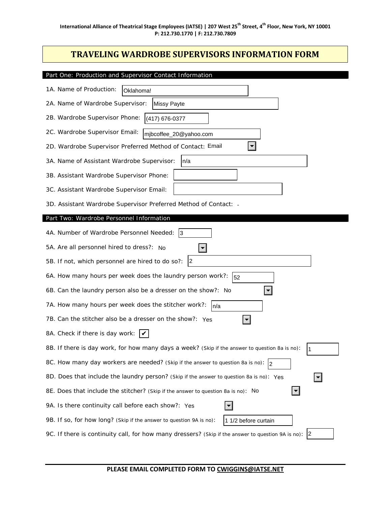## **TRAVELING WARDROBE SUPERVISORS INFORMATION FORM**

| Part One: Production and Supervisor Contact Information                                                       |
|---------------------------------------------------------------------------------------------------------------|
| 1A. Name of Production:<br>Oklahoma!                                                                          |
| 2A. Name of Wardrobe Supervisor:<br><b>Missy Payte</b>                                                        |
| 2B. Wardrobe Supervisor Phone:<br>(417) 676-0377                                                              |
| 2C. Wardrobe Supervisor Email:<br>mjbcoffee_20@yahoo.com                                                      |
| 2D. Wardrobe Supervisor Preferred Method of Contact: Email                                                    |
| 3A. Name of Assistant Wardrobe Supervisor:<br> n/a                                                            |
| 3B. Assistant Wardrobe Supervisor Phone:                                                                      |
| 3C. Assistant Wardrobe Supervisor Email:                                                                      |
| 3D. Assistant Wardrobe Supervisor Preferred Method of Contact: -                                              |
| Part Two: Wardrobe Personnel Information                                                                      |
| 4A. Number of Wardrobe Personnel Needed:<br> 3                                                                |
| 5A. Are all personnel hired to dress?: No                                                                     |
| $ 2\rangle$<br>5B. If not, which personnel are hired to do so?:                                               |
| 6A. How many hours per week does the laundry person work?:<br>52                                              |
| 6B. Can the laundry person also be a dresser on the show?: No                                                 |
| 7A. How many hours per week does the stitcher work?:<br>In/a                                                  |
| 7B. Can the stitcher also be a dresser on the show?: Yes                                                      |
| 8A. Check if there is day work: $\mathcal{V}$                                                                 |
| 8B. If there is day work, for how many days a week? (Skip if the answer to question 8a is no):<br>$\vert$ 1   |
| 8C. How many day workers are needed? (Skip if the answer to question 8a is no): 2                             |
| 8D. Does that include the laundry person? (Skip if the answer to question 8a is no): Yes<br>▼∣                |
| $\vert \mathbf{v} \vert$<br>8E. Does that include the stitcher? (Skip if the answer to question 8a is no): No |
| 9A. Is there continuity call before each show?: Yes                                                           |
| 9B. If so, for how long? (Skip if the answer to question 9A is no):<br>1 1/2 before curtain                   |
| 9C. If there is continuity call, for how many dressers? (Skip if the answer to question 9A is no): 2          |